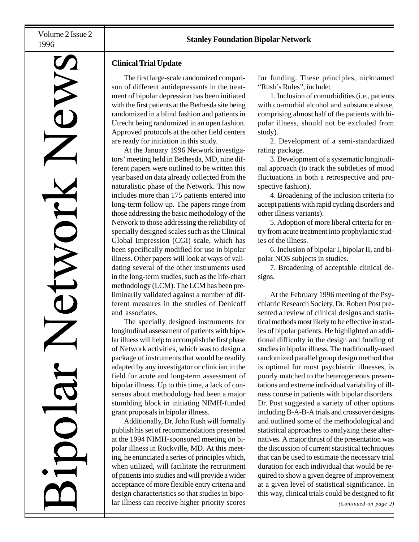# **AVIG**

# **Clinical Trial Update**

The first large-scale randomized comparison of different antidepressants in the treatment of bipolar depression has been initiated with the first patients at the Bethesda site being randomized in a blind fashion and patients in Utrecht being randomized in an open fashion. Approved protocols at the other field centers are ready for initiation in this study.

At the January 1996 Network investigators' meeting held in Bethesda, MD, nine different papers were outlined to be written this year based on data already collected from the naturalistic phase of the Network. This now includes more than 175 patients entered into long-term follow up. The papers range from those addressing the basic methodology of the Network to those addressing the reliability of specially designed scales such as the Clinical Global Impression (CGI) scale, which has been specifically modified for use in bipolar illness. Other papers will look at ways of validating several of the other instruments used in the long-term studies, such as the life-chart methodology (LCM). The LCM has been preliminarily validated against a number of different measures in the studies of Denicoff and associates.

The specially designed instruments for longitudinal assessment of patients with bipolar illness will help to accomplish the first phase of Network activities, which was to design a package of instruments that would be readily adapted by any investigator or clinician in the field for acute and long-term assessment of bipolar illness. Up to this time, a lack of consensus about methodology had been a major stumbling block in initiating NIMH-funded grant proposals in bipolar illness.

Additionally, Dr. John Rush will formally publish his set of recommendations presented at the 1994 NIMH-sponsored meeting on bipolar illness in Rockville, MD. At this meeting, he enunciated a series of principles which, when utilized, will facilitate the recruitment of patients into studies and will provide a wider acceptance of more flexible entry criteria and design characteristics so that studies in bipolar illness can receive higher priority scores

for funding. These principles, nicknamed "Rush's Rules", include:

1. Inclusion of comorbidities (i.e., patients with co-morbid alcohol and substance abuse, comprising almost half of the patients with bipolar illness, should not be excluded from study).

2. Development of a semi-standardized rating package.

3. Development of a systematic longitudinal approach (to track the subtleties of mood fluctuations in both a retrospective and prospective fashion).

4. Broadening of the inclusion criteria (to accept patients with rapid cycling disorders and other illness variants).

5. Adoption of more liberal criteria for entry from acute treatment into prophylactic studies of the illness.

6. Inclusion of bipolar I, bipolar II, and bipolar NOS subjects in studies.

7. Broadening of acceptable clinical designs.

At the February 1996 meeting of the Psychiatric Research Society, Dr. Robert Post presented a review of clinical designs and statistical methods most likely to be effective in studies of bipolar patients. He highlighted an additional difficulty in the design and funding of studies in bipolar illness. The traditionally-used randomized parallel group design method that is optimal for most psychiatric illnesses, is poorly matched to the heterogeneous presentations and extreme individual variability of illness course in patients with bipolar disorders. Dr. Post suggested a variety of other options including B-A-B-A trials and crossover designs and outlined some of the methodological and statistical approaches to analyzing these alternatives. A major thrust of the presentation was the discussion of current statistical techniques that can be used to estimate the necessary trial duration for each individual that would be required to show a given degree of improvement at a given level of statistical significance. In this way, clinical trials could be designed to fit

*(Continued on page 2)*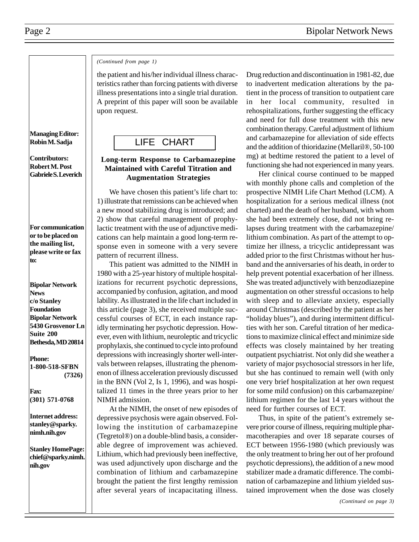### *(Continued from page 1)*

the patient and his/her individual illness characteristics rather than forcing patients with diverse illness presentations into a single trial duration. A preprint of this paper will soon be available upon request.

# LIFE CHART

# **Long-term Response to Carbamazepine Maintained with Careful Titration and Augmentation Strategies**

We have chosen this patient's life chart to: 1) illustrate that remissions can be achieved when a new mood stabilizing drug is introduced; and 2) show that careful management of prophylactic treatment with the use of adjunctive medications can help maintain a good long-term response even in someone with a very severe pattern of recurrent illness.

This patient was admitted to the NIMH in 1980 with a 25-year history of multiple hospitalizations for recurrent psychotic depressions, accompanied by confusion, agitation, and mood lability. As illustrated in the life chart included in this article (page 3), she received multiple successful courses of ECT, in each instance rapidly terminating her psychotic depression. However, even with lithium, neuroleptic and tricyclic prophylaxis, she continued to cycle into profound depressions with increasingly shorter well-intervals between relapses, illustrating the phenomenon of illness acceleration previously discussed in the BNN (Vol 2, Is 1, 1996), and was hospitalized 11 times in the three years prior to her NIMH admission.

At the NIMH, the onset of new episodes of depressive psychosis were again observed. Following the institution of carbamazepine (Tegretol®) on a double-blind basis, a considerable degree of improvement was achieved. Lithium, which had previously been ineffective, was used adjunctively upon discharge and the combination of lithium and carbamazepine brought the patient the first lengthy remission after several years of incapacitating illness. Drug reduction and discontinuation in 1981-82, due to inadvertent medication alterations by the patient in the process of transition to outpatient care in her local community, resulted in rehospitalizations, further suggesting the efficacy and need for full dose treatment with this new combination therapy. Careful adjustment of lithium and carbamazepine for alleviation of side effects and the addition of thioridazine (Mellaril®, 50-100 mg) at bedtime restored the patient to a level of functioning she had not experienced in many years.

Her clinical course continued to be mapped with monthly phone calls and completion of the prospective NIMH Life Chart Method (LCM). A hospitalization for a serious medical illness (not charted) and the death of her husband, with whom she had been extremely close, did not bring relapses during treatment with the carbamazepine/ lithium combination. As part of the attempt to optimize her illness, a tricyclic antidepressant was added prior to the first Christmas without her husband and the anniversaries of his death, in order to help prevent potential exacerbation of her illness. She was treated adjunctively with benzodiazepine augmentation on other stressful occasions to help with sleep and to alleviate anxiety, especially around Christmas (described by the patient as her "holiday blues"), and during intermittent difficulties with her son. Careful titration of her medications to maximize clinical effect and minimize side effects was closely maintained by her treating outpatient psychiatrist. Not only did she weather a variety of major psychosocial stressors in her life, but she has continued to remain well (with only one very brief hospitalization at her own request for some mild confusion) on this carbamazepine/ lithium regimen for the last 14 years without the need for further courses of ECT.

Thus, in spite of the patient's extremely severe prior course of illness, requiring multiple pharmacotherapies and over 18 separate courses of ECT between 1956-1980 (which previously was the only treatment to bring her out of her profound psychotic depressions), the addition of a new mood stabilizer made a dramatic difference. The combination of carbamazepine and lithium yielded sustained improvement when the dose was closely

**Managing Editor: Robin M. Sadja**

**Contributors: Robert M. Post Gabriele S. Leverich**

**For communication or to be placed on the mailing list, please write or fax to:**

**Bipolar Network News c/o Stanley Foundation Bipolar Network 5430 Grosvenor Ln Suite 200 Bethesda, MD 20814**

**Phone: 1-800-518-SFBN (7326)**

**Fax: (301) 571-0768**

**Internet address: stanley@sparky. nimh.nih.gov**

**Stanley HomePage: chief@sparky.nimh. nih.gov**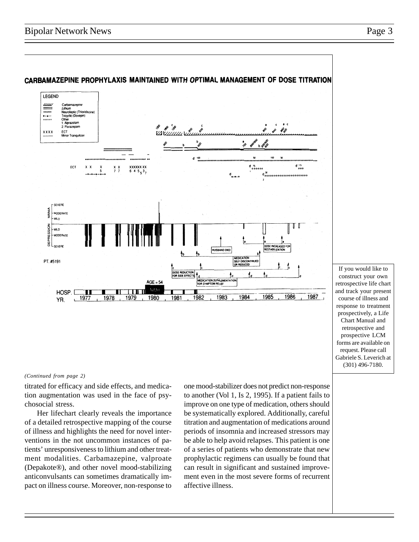

### CARBAMAZEPINE PROPHYLAXIS MAINTAINED WITH OPTIMAL MANAGEMENT OF DOSE TITRATION

### If you would like to construct your own retrospective life chart and track your present course of illness and response to treatment prospectively, a Life Chart Manual and retrospective and prospective LCM forms are available on request. Please call Gabriele S. Leverich at (301) 496-7180.

### *(Continued from page 2)*

titrated for efficacy and side effects, and medication augmentation was used in the face of psychosocial stress.

Her lifechart clearly reveals the importance of a detailed retrospective mapping of the course of illness and highlights the need for novel interventions in the not uncommon instances of patients' unresponsiveness to lithium and other treatment modalities. Carbamazepine, valproate (Depakote®), and other novel mood-stabilizing anticonvulsants can sometimes dramatically impact on illness course. Moreover, non-response to

one mood-stabilizer does not predict non-response to another (Vol 1, Is 2, 1995). If a patient fails to improve on one type of medication, others should be systematically explored. Additionally, careful titration and augmentation of medications around periods of insomnia and increased stressors may be able to help avoid relapses. This patient is one of a series of patients who demonstrate that new prophylactic regimens can usually be found that can result in significant and sustained improvement even in the most severe forms of recurrent affective illness.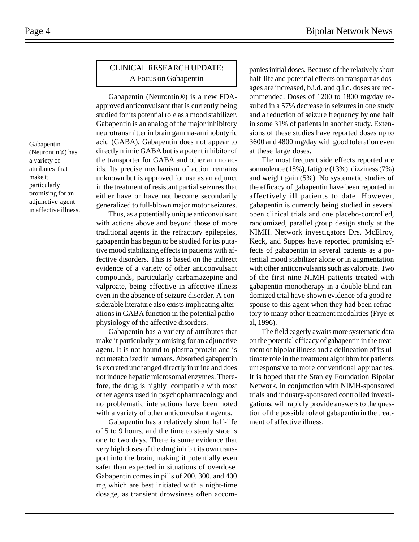# Page 4 Bipolar Network News

Gabapentin (Neurontin®) has a variety of attributes that make it particularly promising for an adjunctive agent in affective illness.

# CLINICAL RESEARCH UPDATE: A Focus on Gabapentin

Gabapentin (Neurontin®) is a new FDAapproved anticonvulsant that is currently being studied for its potential role as a mood stabilizer. Gabapentin is an analog of the major inhibitory neurotransmitter in brain gamma-aminobutyric acid (GABA). Gabapentin does not appear to directly mimic GABA but is a potent inhibitor of the transporter for GABA and other amino acids. Its precise mechanism of action remains unknown but is approved for use as an adjunct in the treatment of resistant partial seizures that either have or have not become secondarily generalized to full-blown major motor seizures.

Thus, as a potentially unique anticonvulsant with actions above and beyond those of more traditional agents in the refractory epilepsies, gabapentin has begun to be studied for its putative mood stabilizing effects in patients with affective disorders. This is based on the indirect evidence of a variety of other anticonvulsant compounds, particularly carbamazepine and valproate, being effective in affective illness even in the absence of seizure disorder. A considerable literature also exists implicating alterations in GABA function in the potential pathophysiology of the affective disorders.

Gabapentin has a variety of attributes that make it particularly promising for an adjunctive agent. It is not bound to plasma protein and is not metabolized in humans. Absorbed gabapentin is excreted unchanged directly in urine and does not induce hepatic microsomal enzymes. Therefore, the drug is highly compatible with most other agents used in psychopharmacology and no problematic interactions have been noted with a variety of other anticonvulsant agents.

Gabapentin has a relatively short half-life of 5 to 9 hours, and the time to steady state is one to two days. There is some evidence that very high doses of the drug inhibit its own transport into the brain, making it potentially even safer than expected in situations of overdose. Gabapentin comes in pills of 200, 300, and 400 mg which are best initiated with a night-time dosage, as transient drowsiness often accom-

panies initial doses. Because of the relatively short half-life and potential effects on transport as dosages are increased, b.i.d. and q.i.d. doses are recommended. Doses of 1200 to 1800 mg/day resulted in a 57% decrease in seizures in one study and a reduction of seizure frequency by one half in some 31% of patients in another study. Extensions of these studies have reported doses up to 3600 and 4800 mg/day with good toleration even at these large doses.

The most frequent side effects reported are somnolence (15%), fatigue (13%), dizziness (7%) and weight gain (5%). No systematic studies of the efficacy of gabapentin have been reported in affectively ill patients to date. However, gabapentin is currently being studied in several open clinical trials and one placebo-controlled, randomized, parallel group design study at the NIMH. Network investigators Drs. McElroy, Keck, and Suppes have reported promising effects of gabapentin in several patients as a potential mood stabilizer alone or in augmentation with other anticonvulsants such as valproate. Two of the first nine NIMH patients treated with gabapentin monotherapy in a double-blind randomized trial have shown evidence of a good response to this agent when they had been refractory to many other treatment modalities (Frye et al, 1996).

The field eagerly awaits more systematic data on the potential efficacy of gabapentin in the treatment of bipolar illness and a delineation of its ultimate role in the treatment algorithm for patients unresponsive to more conventional approaches. It is hoped that the Stanley Foundation Bipolar Network, in conjunction with NIMH-sponsored trials and industry-sponsored controlled investigations, will rapidly provide answers to the question of the possible role of gabapentin in the treatment of affective illness.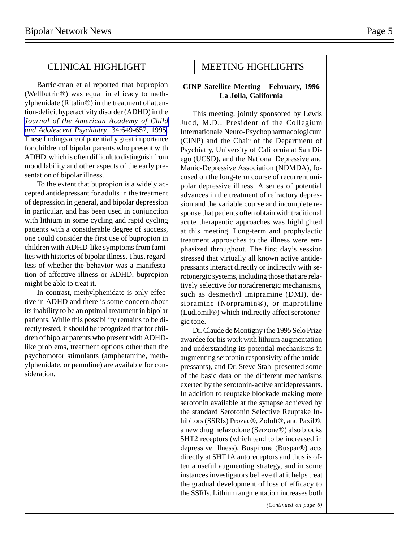# CLINICAL HIGHLIGHT

Barrickman et al reported that bupropion (Wellbutrin®) was equal in efficacy to methylphenidate (Ritalin®) in the treatment of attention-deficit hyperactivity disorder (ADHD) in the *[Journal of the American Academy of Child](http://www.ncbi.nlm.nih.gov/entrez/query.fcgi?cmd=Retrieve&db=PubMed&list_uids=7775360&dopt=Abstract) [and Adolescent Psychiatry](http://www.ncbi.nlm.nih.gov/entrez/query.fcgi?cmd=Retrieve&db=PubMed&list_uids=7775360&dopt=Abstract)*, 34:649-657, 1995. These findings are of potentially great importance for children of bipolar parents who present with ADHD, which is often difficult to distinguish from mood lability and other aspects of the early presentation of bipolar illness.

To the extent that bupropion is a widely accepted antidepressant for adults in the treatment of depression in general, and bipolar depression in particular, and has been used in conjunction with lithium in some cycling and rapid cycling patients with a considerable degree of success, one could consider the first use of bupropion in children with ADHD-like symptoms from families with histories of bipolar illness. Thus, regardless of whether the behavior was a manifestation of affective illness or ADHD, bupropion might be able to treat it.

In contrast, methylphenidate is only effective in ADHD and there is some concern about its inability to be an optimal treatment in bipolar patients. While this possibility remains to be directly tested, it should be recognized that for children of bipolar parents who present with ADHDlike problems, treatment options other than the psychomotor stimulants (amphetamine, methylphenidate, or pemoline) are available for consideration.

# MEETING HIGHLIGHTS

### **CINP Satellite Meeting - February, 1996 La Jolla, California**

This meeting, jointly sponsored by Lewis Judd, M.D., President of the Collegium Internationale Neuro-Psychopharmacologicum (CINP) and the Chair of the Department of Psychiatry, University of California at San Diego (UCSD), and the National Depressive and Manic-Depressive Association (NDMDA), focused on the long-term course of recurrent unipolar depressive illness. A series of potential advances in the treatment of refractory depression and the variable course and incomplete response that patients often obtain with traditional acute therapeutic approaches was highlighted at this meeting. Long-term and prophylactic treatment approaches to the illness were emphasized throughout. The first day's session stressed that virtually all known active antidepressants interact directly or indirectly with serotonergic systems, including those that are relatively selective for noradrenergic mechanisms, such as desmethyl imipramine (DMI), desipramine (Norpramin®), or maprotiline (Ludiomil®) which indirectly affect serotonergic tone.

Dr. Claude de Montigny (the 1995 Selo Prize awardee for his work with lithium augmentation and understanding its potential mechanisms in augmenting serotonin responsivity of the antidepressants), and Dr. Steve Stahl presented some of the basic data on the different mechanisms exerted by the serotonin-active antidepressants. In addition to reuptake blockade making more serotonin available at the synapse achieved by the standard Serotonin Selective Reuptake Inhibitors (SSRIs) Prozac®, Zoloft®, and Paxil®, a new drug nefazodone (Serzone®) also blocks 5HT2 receptors (which tend to be increased in depressive illness). Buspirone (Buspar®) acts directly at 5HT1A autoreceptors and thus is often a useful augmenting strategy, and in some instances investigators believe that it helps treat the gradual development of loss of efficacy to the SSRIs. Lithium augmentation increases both

*(Continued on page 6)*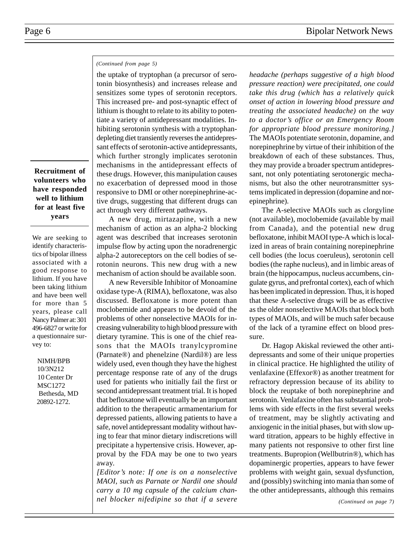### *(Continued from page 5)*

the uptake of tryptophan (a precursor of serotonin biosynthesis) and increases release and sensitizes some types of serotonin receptors. This increased pre- and post-synaptic effect of lithium is thought to relate to its ability to potentiate a variety of antidepressant modalities. Inhibiting serotonin synthesis with a tryptophandepleting diet transiently reverses the antidepressant effects of serotonin-active antidepressants, which further strongly implicates serotonin mechanisms in the antidepressant effects of these drugs. However, this manipulation causes no exacerbation of depressed mood in those responsive to DMI or other norepinephrine-active drugs, suggesting that different drugs can act through very different pathways.

A new drug, mirtazapine, with a new mechanism of action as an alpha-2 blocking agent was described that increases serotonin impulse flow by acting upon the noradrenergic alpha-2 autoreceptors on the cell bodies of serotonin neurons. This new drug with a new mechanism of action should be available soon.

A new Reversible Inhibitor of Monoamine oxidase type-A (RIMA), befloxatone, was also discussed. Befloxatone is more potent than moclobemide and appears to be devoid of the problems of other nonselective MAOIs for increasing vulnerability to high blood pressure with dietary tyramine. This is one of the chief reasons that the MAOIs tranylcypromine (Parnate®) and phenelzine (Nardil®) are less widely used, even though they have the highest percentage response rate of any of the drugs used for patients who initially fail the first or second antidepressant treatment trial. It is hoped that befloxatone will eventually be an important addition to the therapeutic armamentarium for depressed patients, allowing patients to have a safe, novel antidepressant modality without having to fear that minor dietary indiscretions will precipitate a hypertensive crisis. However, approval by the FDA may be one to two years away.

*[Editor's note: If one is on a nonselective MAOI, such as Parnate or Nardil one should carry a 10 mg capsule of the calcium channel blocker nifedipine so that if a severe* *headache (perhaps suggestive of a high blood pressure reaction) were precipitated, one could take this drug (which has a relatively quick onset of action in lowering blood pressure and treating the associated headache) on the way to a doctor's office or an Emergency Room for appropriate blood pressure monitoring.]* The MAOIs potentiate serotonin, dopamine, and norepinephrine by virtue of their inhibition of the breakdown of each of these substances. Thus, they may provide a broader spectrum antidepressant, not only potentiating serotonergic mechanisms, but also the other neurotransmitter systems implicated in depression (dopamine and norepinephrine).

The A-selective MAOIs such as clorgyline (not available), moclobemide (available by mail from Canada), and the potential new drug befloxatone, inhibit MAOI type-A which is localized in areas of brain containing norepinephrine cell bodies (the locus coeruleus), serotonin cell bodies (the raphe nucleus), and in limbic areas of brain (the hippocampus, nucleus accumbens, cingulate gyrus, and prefrontal cortex), each of which has been implicated in depression. Thus, it is hoped that these A-selective drugs will be as effective as the older nonselective MAOIs that block both types of MAOIs, and will be much safer because of the lack of a tyramine effect on blood pressure.

Dr. Hagop Akiskal reviewed the other antidepressants and some of their unique properties in clinical practice. He highlighted the utility of venlafaxine (Effexor®) as another treatment for refractory depression because of its ability to block the reuptake of both norepinephrine and serotonin. Venlafaxine often has substantial problems with side effects in the first several weeks of treatment, may be slightly activating and anxiogenic in the initial phases, but with slow upward titration, appears to be highly effective in many patients not responsive to other first line treatments. Bupropion (Wellbutrin®), which has dopaminergic properties, appears to have fewer problems with weight gain, sexual dysfunction, and (possibly) switching into mania than some of the other antidepressants, although this remains

*(Continued on page 7)*

## **Recruitment of volunteers who have responded well to lithium for at least five years**

We are seeking to identify characteristics of bipolar illness associated with a good response to lithium. If you have been taking lithium and have been well for more than 5 years, please call Nancy Palmer at: 301 496-6827 or write for a questionnaire survey to:

 NIMH/BPB 10/3N212 10 Center Dr MSC1272 Bethesda, MD 20892-1272.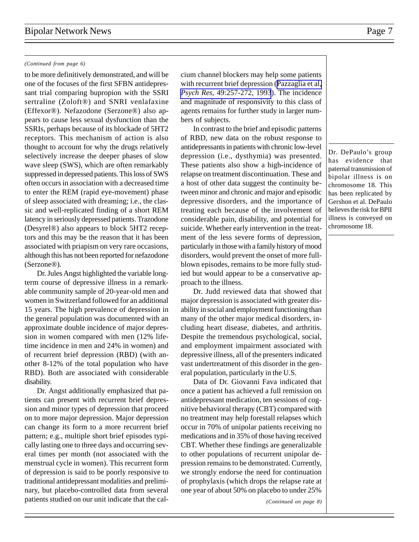### *(Continued from page 6)*

to be more definitively demonstrated, and will be one of the focuses of the first SFBN antidepressant trial comparing bupropion with the SSRI sertraline (Zoloft®) and SNRI venlafaxine (Effexor®). Nefazodone (Serzone®) also appears to cause less sexual dysfunction than the SSRIs, perhaps because of its blockade of 5HT2 receptors. This mechanism of action is also thought to account for why the drugs relatively selectively increase the deeper phases of slow wave sleep (SWS), which are often remarkably suppressed in depressed patients. This loss of SWS often occurs in association with a decreased time to enter the REM (rapid eye-movement) phase of sleep associated with dreaming; i.e., the classic and well-replicated finding of a short REM latency in seriously depressed patients. Trazodone (Desyrel®) also appears to block 5HT2 receptors and this may be the reason that it has been associated with priapism on very rare occasions, although this has not been reported for nefazodone (Serzone®).

Dr. Jules Angst highlighted the variable longterm course of depressive illness in a remarkable community sample of 20-year-old men and women in Switzerland followed for an additional 15 years. The high prevalence of depression in the general population was documented with an approximate double incidence of major depression in women compared with men (12% lifetime incidence in men and 24% in women) and of recurrent brief depression (RBD) (with another 8-12% of the total population who have RBD). Both are associated with considerable disability.

Dr. Angst additionally emphasized that patients can present with recurrent brief depression and minor types of depression that proceed on to more major depression. Major depression can change its form to a more recurrent brief pattern; e.g., multiple short brief episodes typically lasting one to three days and occurring several times per month (not associated with the menstrual cycle in women). This recurrent form of depression is said to be poorly responsive to traditional antidepressant modalities and preliminary, but placebo-controlled data from several patients studied on our unit indicate that the calcium channel blockers may help some patients with recurrent brief depression ([Pazzaglia et al,](http://www.ncbi.nlm.nih.gov/entrez/query.fcgi?cmd=Retrieve&db=PubMed&list_uids=8177920&dopt=Abstract) *Psych Res,* [49:257-272, 1993](http://www.ncbi.nlm.nih.gov/entrez/query.fcgi?cmd=Retrieve&db=PubMed&list_uids=8177920&dopt=Abstract)). The incidence and magnitude of responsivity to this class of agents remains for further study in larger numbers of subjects.

In contrast to the brief and episodic patterns of RBD, new data on the robust response to antidepressants in patients with chronic low-level depression (i.e., dysthymia) was presented. These patients also show a high-incidence of relapse on treatment discontinuation. These and a host of other data suggest the continuity between minor and chronic and major and episodic depressive disorders, and the importance of treating each because of the involvement of considerable pain, disability, and potential for suicide. Whether early intervention in the treatment of the less severe forms of depression, particularly in those with a family history of mood disorders, would prevent the onset of more fullblown episodes, remains to be more fully studied but would appear to be a conservative approach to the illness.

Dr. Judd reviewed data that showed that major depression is associated with greater disability in social and employment functioning than many of the other major medical disorders, including heart disease, diabetes, and arthritis. Despite the tremendous psychological, social, and employment impairment associated with depressive illness, all of the presenters indicated vast undertreatment of this disorder in the general population, particularly in the U.S.

Data of Dr. Giovanni Fava indicated that once a patient has achieved a full remission on antidepressant medication, ten sessions of cognitive behavioral therapy (CBT) compared with no treatment may help forestall relapses which occur in 70% of unipolar patients receiving no medications and in 35% of those having received CBT. Whether these findings are generalizable to other populations of recurrent unipolar depression remains to be demonstrated. Currently, we strongly endorse the need for continuation of prophylaxis (which drops the relapse rate at one year of about 50% on placebo to under 25%

Dr. DePaulo's group has evidence that paternal transmission of bipolar illness is on chromosome 18. This has been replicated by Gershon et al. DePaulo believes the risk for BPII illness is conveyed on chromosome 18.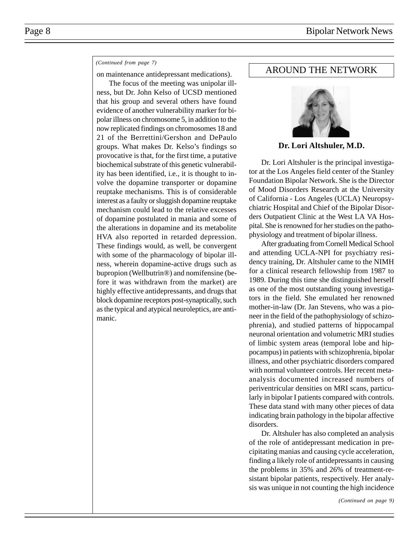### *(Continued from page 7)*

on maintenance antidepressant medications).

The focus of the meeting was unipolar illness, but Dr. John Kelso of UCSD mentioned that his group and several others have found evidence of another vulnerability marker for bipolar illness on chromosome 5, in addition to the now replicated findings on chromosomes 18 and 21 of the Berrettini/Gershon and DePaulo groups. What makes Dr. Kelso's findings so provocative is that, for the first time, a putative biochemical substrate of this genetic vulnerability has been identified, i.e., it is thought to involve the dopamine transporter or dopamine reuptake mechanisms. This is of considerable interest as a faulty or sluggish dopamine reuptake mechanism could lead to the relative excesses of dopamine postulated in mania and some of the alterations in dopamine and its metabolite HVA also reported in retarded depression. These findings would, as well, be convergent with some of the pharmacology of bipolar illness, wherein dopamine-active drugs such as bupropion (Wellbutrin®) and nomifensine (before it was withdrawn from the market) are highly effective antidepressants, and drugs that block dopamine receptors post-synaptically, such as the typical and atypical neuroleptics, are antimanic.

# AROUND THE NETWORK



**Dr. Lori Altshuler, M.D.**

Dr. Lori Altshuler is the principal investigator at the Los Angeles field center of the Stanley Foundation Bipolar Network. She is the Director of Mood Disorders Research at the University of California - Los Angeles (UCLA) Neuropsychiatric Hospital and Chief of the Bipolar Disorders Outpatient Clinic at the West LA VA Hospital. She is renowned for her studies on the pathophysiology and treatment of bipolar illness.

After graduating from Cornell Medical School and attending UCLA-NPI for psychiatry residency training, Dr. Altshuler came to the NIMH for a clinical research fellowship from 1987 to 1989. During this time she distinguished herself as one of the most outstanding young investigators in the field. She emulated her renowned mother-in-law (Dr. Jan Stevens, who was a pioneer in the field of the pathophysiology of schizophrenia), and studied patterns of hippocampal neuronal orientation and volumetric MRI studies of limbic system areas (temporal lobe and hippocampus) in patients with schizophrenia, bipolar illness, and other psychiatric disorders compared with normal volunteer controls. Her recent metaanalysis documented increased numbers of periventricular densities on MRI scans, particularly in bipolar I patients compared with controls. These data stand with many other pieces of data indicating brain pathology in the bipolar affective disorders.

Dr. Altshuler has also completed an analysis of the role of antidepressant medication in precipitating manias and causing cycle acceleration, finding a likely role of antidepressants in causing the problems in 35% and 26% of treatment-resistant bipolar patients, respectively. Her analysis was unique in not counting the high incidence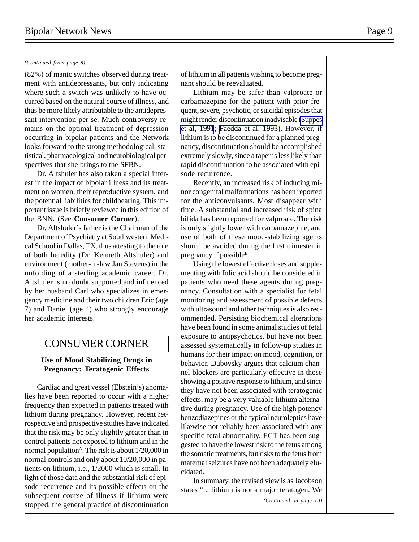### *(Continued from page 8)*

(82%) of manic switches observed during treatment with antidepressants, but only indicating where such a switch was unlikely to have occurred based on the natural course of illness, and thus be more likely attributable to the antidepressant intervention per se. Much controversy remains on the optimal treatment of depression occurring in bipolar patients and the Network looks forward to the strong methodological, statistical, pharmacological and neurobiological perspectives that she brings to the SFBN.

Dr. Altshuler has also taken a special interest in the impact of bipolar illness and its treatment on women, their reproductive system, and the potential liabilities for childbearing. This important issue is briefly reviewed in this edition of the BNN. (See **Consumer Corner**).

Dr. Altshuler's father is the Chairman of the Department of Psychiatry at Southwestern Medical School in Dallas, TX, thus attesting to the role of both heredity (Dr. Kenneth Altshuler) and environment (mother-in-law Jan Stevens) in the unfolding of a sterling academic career. Dr. Altshuler is no doubt supported and influenced by her husband Carl who specializes in emergency medicine and their two children Eric (age 7) and Daniel (age 4) who strongly encourage her academic interests.

# CONSUMER CORNER

### **Use of Mood Stabilizing Drugs in Pregnancy: Teratogenic Effects**

Cardiac and great vessel (Ebstein's) anomalies have been reported to occur with a higher frequency than expected in patients treated with lithium during pregnancy. However, recent retrospective and prospective studies have indicated that the risk may be only slightly greater than in control patients not exposed to lithium and in the normal population<sup> $\triangle$ </sup>. The risk is about  $1/20,000$  in normal controls and only about 10/20,000 in patients on lithium, i.e., 1/2000 which is small. In light of those data and the substantial risk of episode recurrence and its possible effects on the subsequent course of illness if lithium were stopped, the general practice of discontinuation of lithium in all patients wishing to become pregnant should be reevaluated.

Lithium may be safer than valproate or carbamazepine for the patient with prior frequent, severe, psychotic, or suicidal episodes that might render discontinuation inadvisable [\(Suppes](http://www.ncbi.nlm.nih.gov/entrez/query.fcgi?cmd=Retrieve&db=PubMed&list_uids=1845226&dopt=Abstract) [et al, 1991](http://www.ncbi.nlm.nih.gov/entrez/query.fcgi?cmd=Retrieve&db=PubMed&list_uids=1845226&dopt=Abstract); [Faedda et al, 1993](http://www.ncbi.nlm.nih.gov/entrez/query.fcgi?cmd=Retrieve&db=PubMed&list_uids=8498879&dopt=Abstract)). However, if lithium is to be discontinued for a planned pregnancy, discontinuation should be accomplished extremely slowly, since a taper is less likely than rapid discontinuation to be associated with episode recurrence.

Recently, an increased risk of inducing minor congenital malformations has been reported for the anticonvulsants. Most disappear with time. A substantial and increased risk of spina bifida has been reported for valproate. The risk is only slightly lower with carbamazepine, and use of both of these mood-stabilizing agents should be avoided during the first trimester in pregnancy if possible<sup>B</sup>.

Using the lowest effective doses and supplementing with folic acid should be considered in patients who need these agents during pregnancy. Consultation with a specialist for fetal monitoring and assessment of possible defects with ultrasound and other techniques is also recommended. Persisting biochemical alterations have been found in some animal studies of fetal exposure to antipsychotics, but have not been assessed systematically in follow-up studies in humans for their impact on mood, cognition, or behavior. Dubovsky argues that calcium channel blockers are particularly effective in those showing a positive response to lithium, and since they have not been associated with teratogenic effects, may be a very valuable lithium alternative during pregnancy. Use of the high potency benzodiazepines or the typical neuroleptics have likewise not reliably been associated with any specific fetal abnormality. ECT has been suggested to have the lowest risk to the fetus among the somatic treatments, but risks to the fetus from maternal seizures have not been adequately elucidated.

In summary, the revised view is as Jacobson states "... lithium is not a major teratogen. We